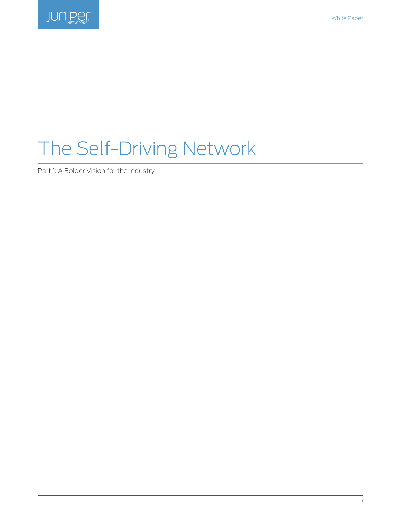

# The Self-Driving Network

Part 1: A Bolder Vision for the Industry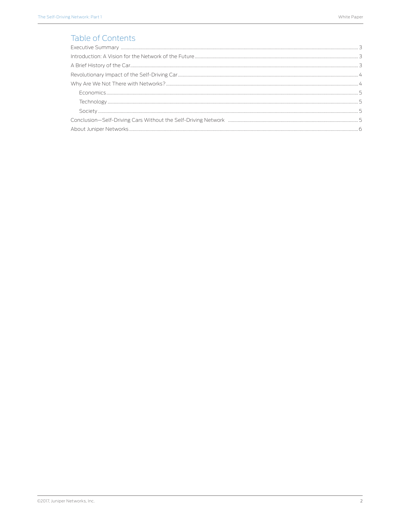# Table of Contents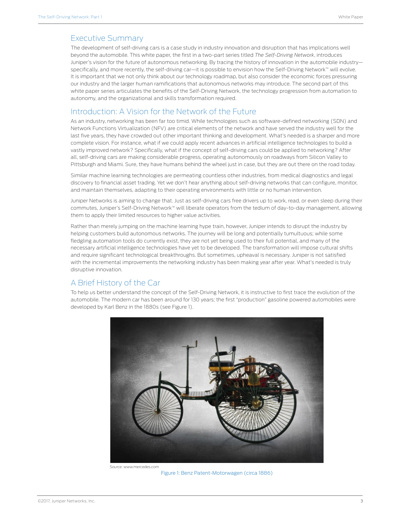#### <span id="page-2-0"></span>Executive Summary

The development of self-driving cars is a case study in industry innovation and disruption that has implications well beyond the automobile. This white paper, the first in a two-part series titled *The Self-Driving Network*, introduces Juniper's vision for the future of autonomous networking. By tracing the history of innovation in the automobile industry specifically, and more recently, the self-driving car—it is possible to envision how the Self-Driving Network™ will evolve. It is important that we not only think about our technology roadmap, but also consider the economic forces pressuring our industry and the larger human ramifications that autonomous networks may introduce. The second part of this white paper series articulates the benefits of the Self-Driving Network, the technology progression from automation to autonomy, and the organizational and skills transformation required.

### Introduction: A Vision for the Network of the Future

As an industry, networking has been far too timid. While technologies such as software-defined networking (SDN) and Network Functions Virtualization (NFV) are critical elements of the network and have served the industry well for the last five years, they have crowded out other important thinking and development. What's needed is a sharper and more complete vision. For instance, what if we could apply recent advances in artificial intelligence technologies to build a vastly improved network? Specifically, what if the concept of self-driving cars could be applied to networking? After all, self-driving cars are making considerable progress, operating autonomously on roadways from Silicon Valley to Pittsburgh and Miami. Sure, they have humans behind the wheel just in case, but they are out there on the road today.

Similar machine learning technologies are permeating countless other industries, from medical diagnostics and legal discovery to financial asset trading. Yet we don't hear anything about self-driving networks that can configure, monitor, and maintain themselves, adapting to their operating environments with little or no human intervention.

Juniper Networks is aiming to change that. Just as self-driving cars free drivers up to work, read, or even sleep during their commutes, Juniper's Self-Driving Network™ will liberate operators from the tedium of day-to-day management, allowing them to apply their limited resources to higher value activities.

Rather than merely jumping on the machine learning hype train, however, Juniper intends to disrupt the industry by helping customers build autonomous networks. The journey will be long and potentially tumultuous; while some fledgling automation tools do currently exist, they are not yet being used to their full potential, and many of the necessary artificial intelligence technologies have yet to be developed. The transformation will impose cultural shifts and require significant technological breakthroughs. But sometimes, upheaval is necessary. Juniper is not satisfied with the incremental improvements the networking industry has been making year after year. What's needed is truly disruptive innovation.

# A Brief History of the Car

To help us better understand the concept of the Self-Driving Network, it is instructive to first trace the evolution of the automobile. The modern car has been around for 130 years; the first "production" gasoline powered automobiles were developed by Karl Benz in the 1880s (see Figure 1).



 Source: www.mercedes.com Figure 1: Benz Patent-Motorwagen (circa 1886)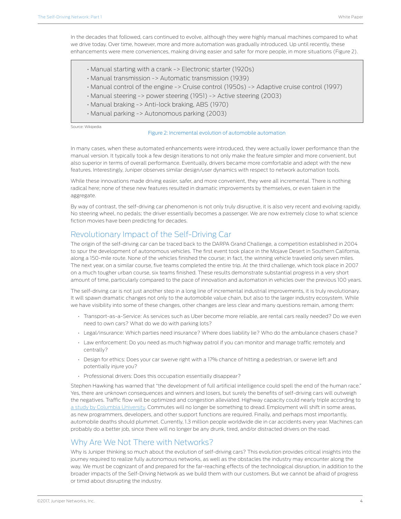<span id="page-3-0"></span>In the decades that followed, cars continued to evolve, although they were highly manual machines compared to what we drive today. Over time, however, more and more automation was gradually introduced. Up until recently, these enhancements were mere conveniences, making driving easier and safer for more people, in more situations (Figure 2).

- Manual starting with a crank -> Electronic starter (1920s)
- Manual transmission -> Automatic transmission (1939)
- Manual control of the engine -> Cruise control (1950s) -> Adaptive cruise control (1997)
- Manual steering -> power steering (1951) -> Active steering (2003)
- Manual braking -> Anti-lock braking, ABS (1970)
- Manual parking -> Autonomous parking (2003)

Source: Wikipedia

#### Figure 2: Incremental evolution of automobile automation

In many cases, when these automated enhancements were introduced, they were actually lower performance than the manual version. It typically took a few design iterations to not only make the feature simpler and more convenient, but also superior in terms of overall performance. Eventually, drivers became more comfortable and adept with the new features. Interestingly, Juniper observes similar design/user dynamics with respect to network automation tools.

While these innovations made driving easier, safer, and more convenient, they were all incremental. There is nothing radical here; none of these new features resulted in dramatic improvements by themselves, or even taken in the aggregate.

By way of contrast, the self-driving car phenomenon is not only truly disruptive, it is also very recent and evolving rapidly. No steering wheel, no pedals; the driver essentially becomes a passenger. We are now extremely close to what science fiction movies have been predicting for decades.

# Revolutionary Impact of the Self-Driving Car

The origin of the self-driving car can be traced back to the DARPA Grand Challenge, a competition established in 2004 to spur the development of autonomous vehicles. The first event took place in the Mojave Desert in Southern California, along a 150-mile route. None of the vehicles finished the course; in fact, the winning vehicle traveled only seven miles. The next year, on a similar course, five teams completed the entire trip. At the third challenge, which took place in 2007 on a much tougher urban course, six teams finished. These results demonstrate substantial progress in a very short amount of time, particularly compared to the pace of innovation and automation in vehicles over the previous 100 years.

The self-driving car is not just another step in a long line of incremental industrial improvements, it is truly revolutionary. It will spawn dramatic changes not only to the automobile value chain, but also to the larger industry ecosystem. While we have visibility into some of these changes, other changes are less clear and many questions remain, among them:

- Transport-as-a-Service: As services such as Uber become more reliable, are rental cars really needed? Do we even need to own cars? What do we do with parking lots?
- Legal/insurance: Which parties need insurance? Where does liability lie? Who do the ambulance chasers chase?
- Law enforcement: Do you need as much highway patrol if you can monitor and manage traffic remotely and centrally?
- Design for ethics: Does your car swerve right with a 17% chance of hitting a pedestrian, or swerve left and potentially injure you?
- Professional drivers: Does this occupation essentially disappear?

Stephen Hawking has warned that "the development of full artificial intelligence could spell the end of the human race." Yes, there are unknown consequences and winners and losers, but surely the benefits of self-driving cars will outweigh the negatives. Traffic flow will be optimized and congestion alleviated. Highway capacity could nearly triple according to [a study by Columbia University.](http://spectrum.ieee.org/automaton/robotics/artificial-intelligence/intelligent-cars-could-boost-highway-capacity-by-273) Commutes will no longer be something to dread. Employment will shift in some areas, as new programmers, developers, and other support functions are required. Finally, and perhaps most importantly, automobile deaths should plummet. Currently, 1.3 million people worldwide die in car accidents every year. Machines can probably do a better job, since there will no longer be any drunk, tired, and/or distracted drivers on the road.

#### Why Are We Not There with Networks?

Why is Juniper thinking so much about the evolution of self-driving cars? This evolution provides critical insights into the journey required to realize fully autonomous networks, as well as the obstacles the industry may encounter along the way. We must be cognizant of and prepared for the far-reaching effects of the technological disruption, in addition to the broader impacts of the Self-Driving Network as we build them with our customers. But we cannot be afraid of progress or timid about disrupting the industry.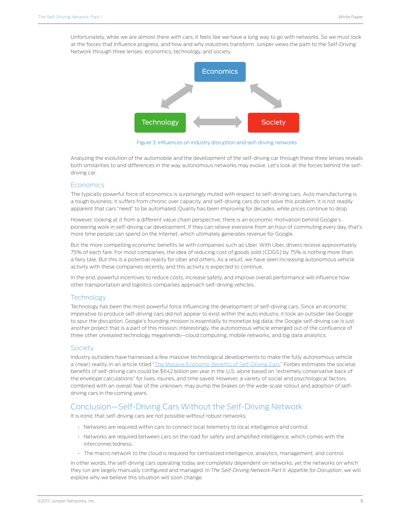<span id="page-4-0"></span>Unfortunately, while we are almost there with cars, it feels like we have a long way to go with networks. So we must look at the forces that influence progress, and how and why industries transform. Juniper views the path to the Self-Driving Network through three lenses: economics, technology, and society.



Figure 3: Influences on industry disruption and self-driving networks

Analyzing the evolution of the automobile and the development of the self-driving car through these three lenses reveals both similarities to and differences in the way autonomous networks may evolve. Let's look at the forces behind the selfdriving car.

#### **Economics**

The typically powerful force of economics is surprisingly muted with respect to self-driving cars. Auto manufacturing is a tough business; it suffers from chronic over capacity, and self-driving cars do not solve this problem. It is not readily apparent that cars "need" to be automated. Quality has been improving for decades, while prices continue to drop.

However, looking at it from a different value chain perspective, there is an economic motivation behind Google's pioneering work in self-driving car development. If they can relieve everyone from an hour of commuting every day, that's more time people can spend on the Internet, which ultimately generates revenue for Google.

But the more compelling economic benefits lie with companies such as Uber. With Uber, drivers receive approximately 75% of each fare. For most companies, the idea of reducing cost of goods sold (COGS) by 75% is nothing more than a fairy tale. But this is a potential reality for Uber and others. As a result, we have seen increasing autonomous vehicle activity with these companies recently, and this activity is expected to continue.

In the end, powerful incentives to reduce costs, increase safety, and improve overall performance will influence how other transportation and logistics companies approach self-driving vehicles.

#### **Technology**

Technology has been the most powerful force influencing the development of self-driving cars. Since an economic imperative to produce self-driving cars did not appear to exist within the auto industry, it took an outsider like Google to spur the disruption. Google's founding mission is essentially to monetize big data; the Google self-driving car is just another project that is a part of this mission. Interestingly, the autonomous vehicle emerged out of the confluence of three other unrelated technology megatrends—cloud computing, mobile networks, and big data analytics.

#### **Society**

Industry outsiders have harnessed a few massive technological developments to make the fully autonomous vehicle a (near) reality. In an article titled "[The Massive Economic Benefits of Self-Driving Cars](http://www.forbes.com/sites/modeledbehavior/2014/11/08/the-massive-economic-benefits-of-self-driving-cars/#f5ed1f468d92)," Forbes estimates the societal benefits of self-driving cars could be \$642 billion per year in the U.S. alone based on "extremely conservative back of the envelope calculations" for lives, injuries, and time saved. However, a variety of social and psychological factors, combined with an overall fear of the unknown, may pump the brakes on the wide-scale rollout and adoption of selfdriving cars in the coming years.

#### Conclusion—Self-Driving Cars Without the Self-Driving Network

It is ironic that self-driving cars are not possible without robust networks:

- Networks are required within cars to connect local telemetry to local intelligence and control.
- Networks are required between cars on the road for safety and amplified intelligence, which comes with the interconnectedness.
- The macro network to the cloud is required for centralized intelligence, analytics, management, and control.

In other words, the self-driving cars operating today are completely dependent on networks, yet the networks on which they run are largely manually configured and managed. In *The Self-Driving Network Part II: Appetite for Disruption*, we will explore why we believe this situation will soon change.